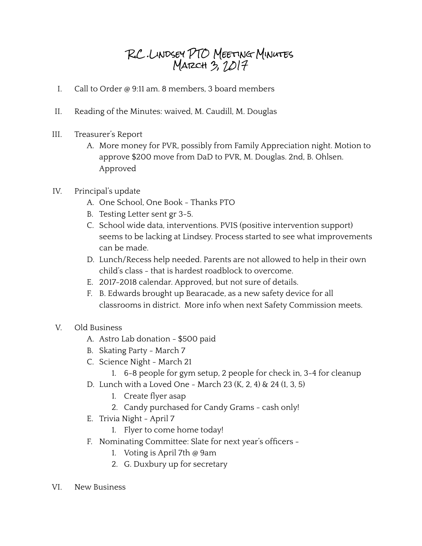## R.C .Lindsey PTO Meeting Minutes MARCH  $3, 2017$

- I. Call to Order @ 9:11 am. 8 members, 3 board members
- II. Reading of the Minutes: waived, M. Caudill, M. Douglas
- III. Treasurer's Report
	- A. More money for PVR, possibly from Family Appreciation night. Motion to approve \$200 move from DaD to PVR, M. Douglas. 2nd, B. Ohlsen. Approved
- IV. Principal's update
	- A. One School, One Book Thanks PTO
	- B. Testing Letter sent gr 3-5.
	- C. School wide data, interventions. PVIS (positive intervention support) seems to be lacking at Lindsey. Process started to see what improvements can be made.
	- D. Lunch/Recess help needed. Parents are not allowed to help in their own child's class - that is hardest roadblock to overcome.
	- E. 2017-2018 calendar. Approved, but not sure of details.
	- F. B. Edwards brought up Bearacade, as a new safety device for all classrooms in district. More info when next Safety Commission meets.
- V. Old Business
	- A. Astro Lab donation \$500 paid
	- B. Skating Party March 7
	- C. Science Night March 21
		- 1. 6-8 people for gym setup, 2 people for check in, 3-4 for cleanup
	- D. Lunch with a Loved One March 23 (K, 2, 4) & 24 (1, 3, 5)
		- 1. Create flyer asap
		- 2. Candy purchased for Candy Grams cash only!
	- E. Trivia Night April 7
		- 1. Flyer to come home today!
	- F. Nominating Committee: Slate for next year's officers -
		- 1. Voting is April 7th @ 9am
		- 2. G. Duxbury up for secretary
- VI. New Business